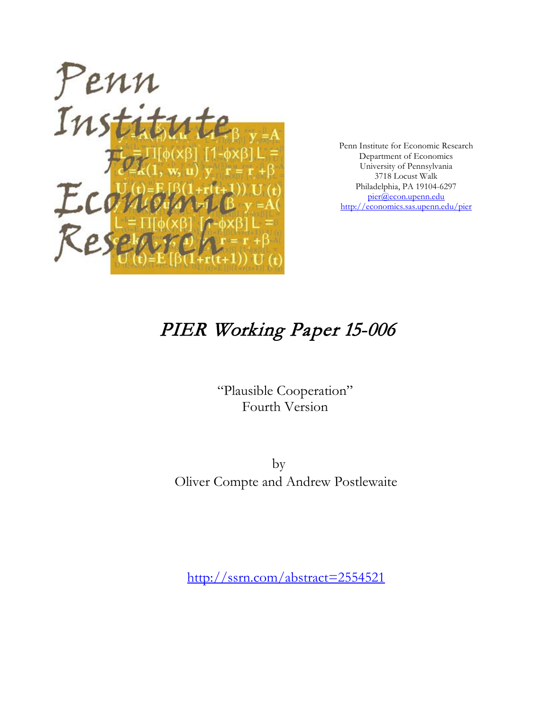

Penn Institute for Economic Research Department of Economics University of Pennsylvania 3718 Locust Walk Philadelphia, PA 19104-6297 [pier@econ.upenn.edu](mailto:pier@econ.upenn.edu) <http://economics.sas.upenn.edu/pier>

# PIER Working Paper 15-006

"Plausible Cooperation" Fourth Version

by Oliver Compte and Andrew Postlewaite

[http://ssrn.com/abstract=2](http://ssrn.com/abstract_id=)554521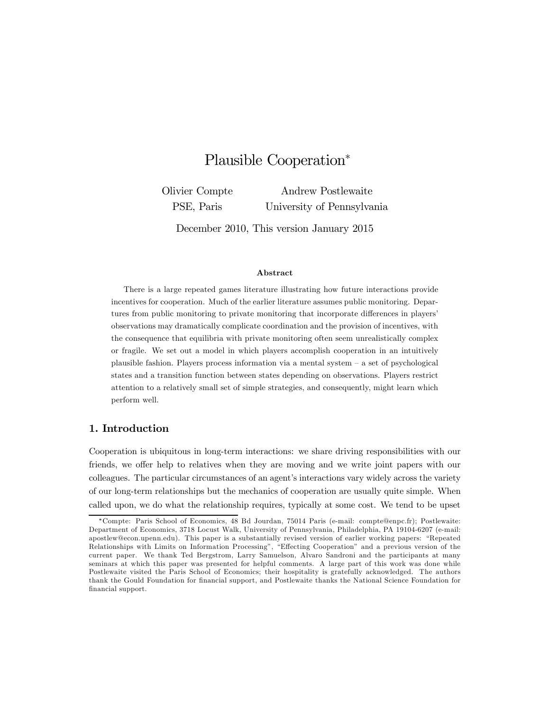# Plausible Cooperation<sup>∗</sup>

Olivier Compte PSE, Paris Andrew Postlewaite University of Pennsylvania

December 2010, This version January 2015

#### Abstract

There is a large repeated games literature illustrating how future interactions provide incentives for cooperation. Much of the earlier literature assumes public monitoring. Departures from public monitoring to private monitoring that incorporate differences in players' observations may dramatically complicate coordination and the provision of incentives, with the consequence that equilibria with private monitoring often seem unrealistically complex or fragile. We set out a model in which players accomplish cooperation in an intuitively plausible fashion. Players process information via a mental system — a set of psychological states and a transition function between states depending on observations. Players restrict attention to a relatively small set of simple strategies, and consequently, might learn which perform well.

## 1. Introduction

Cooperation is ubiquitous in long-term interactions: we share driving responsibilities with our friends, we offer help to relatives when they are moving and we write joint papers with our colleagues. The particular circumstances of an agent's interactions vary widely across the variety of our long-term relationships but the mechanics of cooperation are usually quite simple. When called upon, we do what the relationship requires, typically at some cost. We tend to be upset

<sup>∗</sup>Compte: Paris School of Economics, 48 Bd Jourdan, 75014 Paris (e-mail: compte@enpc.fr); Postlewaite: Department of Economics, 3718 Locust Walk, University of Pennsylvania, Philadelphia, PA 19104-6207 (e-mail: apostlew@econ.upenn.edu). This paper is a substantially revised version of earlier working papers: "Repeated Relationships with Limits on Information Processing", "Effecting Cooperation" and a previous version of the current paper. We thank Ted Bergstrom, Larry Samuelson, Alvaro Sandroni and the participants at many seminars at which this paper was presented for helpful comments. A large part of this work was done while Postlewaite visited the Paris School of Economics; their hospitality is gratefully acknowledged. The authors thank the Gould Foundation for financial support, and Postlewaite thanks the National Science Foundation for financial support.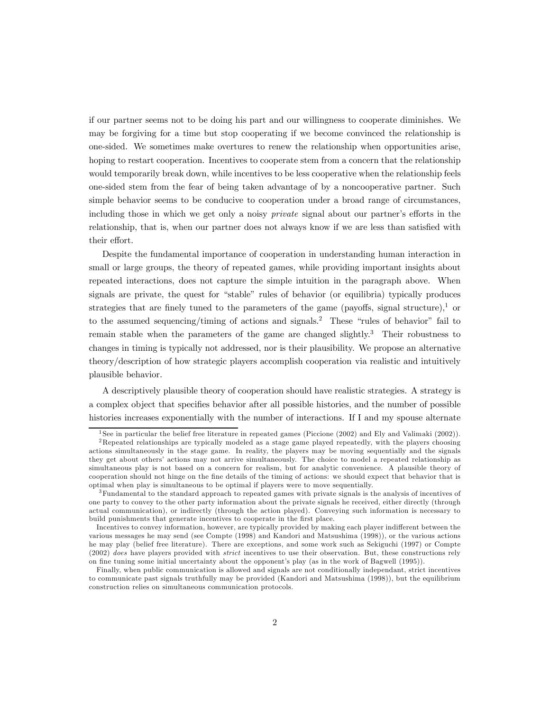if our partner seems not to be doing his part and our willingness to cooperate diminishes. We may be forgiving for a time but stop cooperating if we become convinced the relationship is one-sided. We sometimes make overtures to renew the relationship when opportunities arise, hoping to restart cooperation. Incentives to cooperate stem from a concern that the relationship would temporarily break down, while incentives to be less cooperative when the relationship feels one-sided stem from the fear of being taken advantage of by a noncooperative partner. Such simple behavior seems to be conducive to cooperation under a broad range of circumstances, including those in which we get only a noisy private signal about our partner's efforts in the relationship, that is, when our partner does not always know if we are less than satisfied with their effort.

Despite the fundamental importance of cooperation in understanding human interaction in small or large groups, the theory of repeated games, while providing important insights about repeated interactions, does not capture the simple intuition in the paragraph above. When signals are private, the quest for "stable" rules of behavior (or equilibria) typically produces strategies that are finely tuned to the parameters of the game (payoffs, signal structure), $1$  or to the assumed sequencing/timing of actions and signals.2 These "rules of behavior" fail to remain stable when the parameters of the game are changed slightly.<sup>3</sup> Their robustness to changes in timing is typically not addressed, nor is their plausibility. We propose an alternative theory/description of how strategic players accomplish cooperation via realistic and intuitively plausible behavior.

A descriptively plausible theory of cooperation should have realistic strategies. A strategy is a complex object that specifies behavior after all possible histories, and the number of possible histories increases exponentially with the number of interactions. If I and my spouse alternate

<sup>&</sup>lt;sup>1</sup> See in particular the belief free literature in repeated games (Piccione (2002) and Ely and Valimaki (2002)).

<sup>&</sup>lt;sup>2</sup>Repeated relationships are typically modeled as a stage game played repeatedly, with the players choosing actions simultaneously in the stage game. In reality, the players may be moving sequentially and the signals they get about others' actions may not arrive simultaneously. The choice to model a repeated relationship as simultaneous play is not based on a concern for realism, but for analytic convenience. A plausible theory of cooperation should not hinge on the fine details of the timing of actions: we should expect that behavior that is optimal when play is simultaneous to be optimal if players were to move sequentially.

<sup>&</sup>lt;sup>3</sup>Fundamental to the standard approach to repeated games with private signals is the analysis of incentives of one party to convey to the other party information about the private signals he received, either directly (through actual communication), or indirectly (through the action played). Conveying such information is necessary to build punishments that generate incentives to cooperate in the first place.

Incentives to convey information, however, are typically provided by making each player indifferent between the various messages he may send (see Compte (1998) and Kandori and Matsushima (1998)), or the various actions he may play (belief free literature). There are exceptions, and some work such as Sekiguchi (1997) or Compte (2002) does have players provided with strict incentives to use their observation. But, these constructions rely on fine tuning some initial uncertainty about the opponent's play (as in the work of Bagwell (1995)).

Finally, when public communication is allowed and signals are not conditionally independant, strict incentives to communicate past signals truthfully may be provided (Kandori and Matsushima (1998)), but the equilibrium construction relies on simultaneous communication protocols.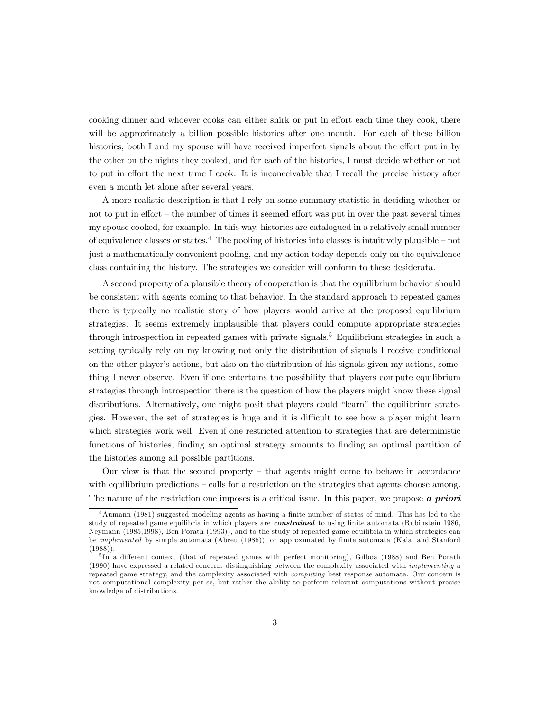cooking dinner and whoever cooks can either shirk or put in effort each time they cook, there will be approximately a billion possible histories after one month. For each of these billion histories, both I and my spouse will have received imperfect signals about the effort put in by the other on the nights they cooked, and for each of the histories, I must decide whether or not to put in effort the next time I cook. It is inconceivable that I recall the precise history after even a month let alone after several years.

A more realistic description is that I rely on some summary statistic in deciding whether or not to put in effort — the number of times it seemed effort was put in over the past several times my spouse cooked, for example. In this way, histories are catalogued in a relatively small number of equivalence classes or states.<sup>4</sup> The pooling of histories into classes is intuitively plausible – not just a mathematically convenient pooling, and my action today depends only on the equivalence class containing the history. The strategies we consider will conform to these desiderata.

A second property of a plausible theory of cooperation is that the equilibrium behavior should be consistent with agents coming to that behavior. In the standard approach to repeated games there is typically no realistic story of how players would arrive at the proposed equilibrium strategies. It seems extremely implausible that players could compute appropriate strategies through introspection in repeated games with private signals.5 Equilibrium strategies in such a setting typically rely on my knowing not only the distribution of signals I receive conditional on the other player's actions, but also on the distribution of his signals given my actions, something I never observe. Even if one entertains the possibility that players compute equilibrium strategies through introspection there is the question of how the players might know these signal distributions. Alternatively, one might posit that players could "learn" the equilibrium strategies. However, the set of strategies is huge and it is difficult to see how a player might learn which strategies work well. Even if one restricted attention to strategies that are deterministic functions of histories, finding an optimal strategy amounts to finding an optimal partition of the histories among all possible partitions.

Our view is that the second property  $-$  that agents might come to behave in accordance with equilibrium predictions – calls for a restriction on the strategies that agents choose among. The nature of the restriction one imposes is a critical issue. In this paper, we propose  $\boldsymbol{a}$  priori

<sup>4</sup>Aumann (1981) suggested modeling agents as having a finite number of states of mind. This has led to the study of repeated game equilibria in which players are *constrained* to using finite automata (Rubinstein 1986, Neymann (1985,1998), Ben Porath (1993)), and to the study of repeated game equilibria in which strategies can be *implemented* by simple automata (Abreu (1986)), or approximated by finite automata (Kalai and Stanford (1988)).

 ${}^{5}$ In a different context (that of repeated games with perfect monitoring), Gilboa (1988) and Ben Porath (1990) have expressed a related concern, distinguishing between the complexity associated with implementing a repeated game strategy, and the complexity associated with computing best response automata. Our concern is not computational complexity per se, but rather the ability to perform relevant computations without precise knowledge of distributions.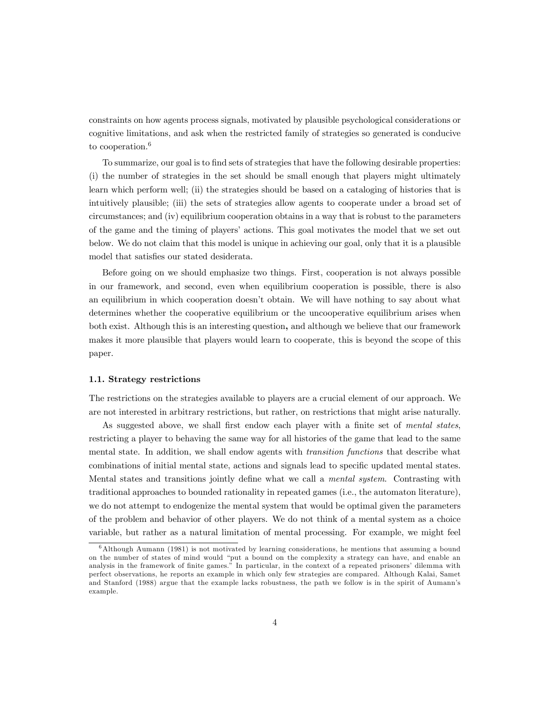constraints on how agents process signals, motivated by plausible psychological considerations or cognitive limitations, and ask when the restricted family of strategies so generated is conducive to cooperation.<sup>6</sup>

To summarize, our goal is to find sets of strategies that have the following desirable properties: (i) the number of strategies in the set should be small enough that players might ultimately learn which perform well; (ii) the strategies should be based on a cataloging of histories that is intuitively plausible; (iii) the sets of strategies allow agents to cooperate under a broad set of circumstances; and (iv) equilibrium cooperation obtains in a way that is robust to the parameters of the game and the timing of players' actions. This goal motivates the model that we set out below. We do not claim that this model is unique in achieving our goal, only that it is a plausible model that satisfies our stated desiderata.

Before going on we should emphasize two things. First, cooperation is not always possible in our framework, and second, even when equilibrium cooperation is possible, there is also an equilibrium in which cooperation doesn't obtain. We will have nothing to say about what determines whether the cooperative equilibrium or the uncooperative equilibrium arises when both exist. Although this is an interesting question, and although we believe that our framework makes it more plausible that players would learn to cooperate, this is beyond the scope of this paper.

#### 1.1. Strategy restrictions

The restrictions on the strategies available to players are a crucial element of our approach. We are not interested in arbitrary restrictions, but rather, on restrictions that might arise naturally.

As suggested above, we shall first endow each player with a finite set of mental states, restricting a player to behaving the same way for all histories of the game that lead to the same mental state. In addition, we shall endow agents with transition functions that describe what combinations of initial mental state, actions and signals lead to specific updated mental states. Mental states and transitions jointly define what we call a mental system. Contrasting with traditional approaches to bounded rationality in repeated games (i.e., the automaton literature), we do not attempt to endogenize the mental system that would be optimal given the parameters of the problem and behavior of other players. We do not think of a mental system as a choice variable, but rather as a natural limitation of mental processing. For example, we might feel

<sup>6</sup>Although Aumann (1981) is not motivated by learning considerations, he mentions that assuming a bound on the number of states of mind would "put a bound on the complexity a strategy can have, and enable an analysis in the framework of finite games." In particular, in the context of a repeated prisoners' dilemma with perfect observations, he reports an example in which only few strategies are compared. Although Kalai, Samet and Stanford (1988) argue that the example lacks robustness, the path we follow is in the spirit of Aumann's example.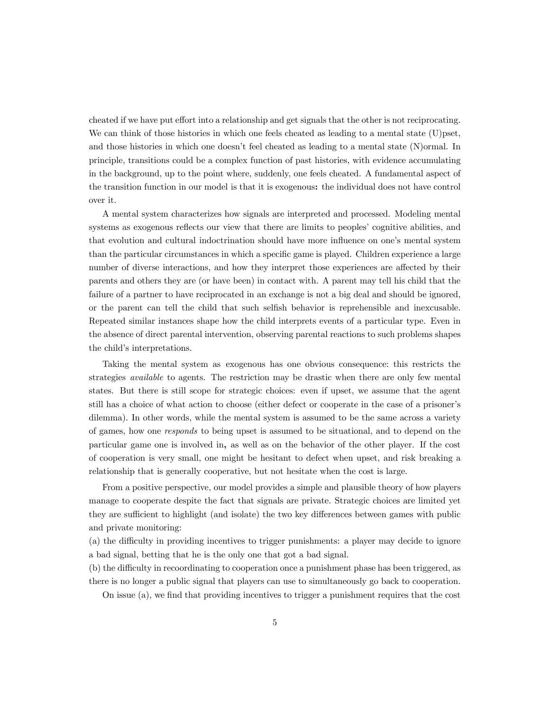cheated if we have put effort into a relationship and get signals that the other is not reciprocating. We can think of those histories in which one feels cheated as leading to a mental state (U)pset, and those histories in which one doesn't feel cheated as leading to a mental state (N)ormal. In principle, transitions could be a complex function of past histories, with evidence accumulating in the background, up to the point where, suddenly, one feels cheated. A fundamental aspect of the transition function in our model is that it is exogenous: the individual does not have control over it.

A mental system characterizes how signals are interpreted and processed. Modeling mental systems as exogenous reflects our view that there are limits to peoples' cognitive abilities, and that evolution and cultural indoctrination should have more influence on one's mental system than the particular circumstances in which a specific game is played. Children experience a large number of diverse interactions, and how they interpret those experiences are affected by their parents and others they are (or have been) in contact with. A parent may tell his child that the failure of a partner to have reciprocated in an exchange is not a big deal and should be ignored, or the parent can tell the child that such selfish behavior is reprehensible and inexcusable. Repeated similar instances shape how the child interprets events of a particular type. Even in the absence of direct parental intervention, observing parental reactions to such problems shapes the child's interpretations.

Taking the mental system as exogenous has one obvious consequence: this restricts the strategies available to agents. The restriction may be drastic when there are only few mental states. But there is still scope for strategic choices: even if upset, we assume that the agent still has a choice of what action to choose (either defect or cooperate in the case of a prisoner's dilemma). In other words, while the mental system is assumed to be the same across a variety of games, how one responds to being upset is assumed to be situational, and to depend on the particular game one is involved in, as well as on the behavior of the other player. If the cost of cooperation is very small, one might be hesitant to defect when upset, and risk breaking a relationship that is generally cooperative, but not hesitate when the cost is large.

From a positive perspective, our model provides a simple and plausible theory of how players manage to cooperate despite the fact that signals are private. Strategic choices are limited yet they are sufficient to highlight (and isolate) the two key differences between games with public and private monitoring:

(a) the difficulty in providing incentives to trigger punishments: a player may decide to ignore a bad signal, betting that he is the only one that got a bad signal.

(b) the difficulty in recoordinating to cooperation once a punishment phase has been triggered, as there is no longer a public signal that players can use to simultaneously go back to cooperation.

On issue (a), we find that providing incentives to trigger a punishment requires that the cost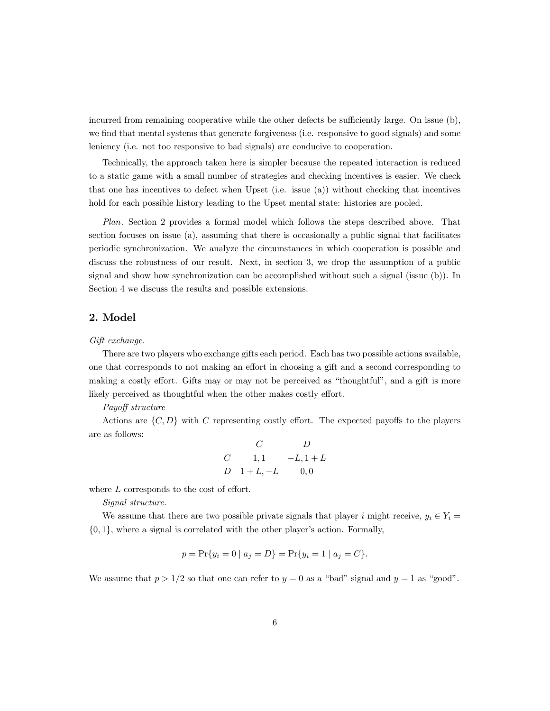incurred from remaining cooperative while the other defects be sufficiently large. On issue (b), we find that mental systems that generate forgiveness (i.e. responsive to good signals) and some leniency (i.e. not too responsive to bad signals) are conducive to cooperation.

Technically, the approach taken here is simpler because the repeated interaction is reduced to a static game with a small number of strategies and checking incentives is easier. We check that one has incentives to defect when Upset (i.e. issue (a)) without checking that incentives hold for each possible history leading to the Upset mental state: histories are pooled.

Plan. Section 2 provides a formal model which follows the steps described above. That section focuses on issue (a), assuming that there is occasionally a public signal that facilitates periodic synchronization. We analyze the circumstances in which cooperation is possible and discuss the robustness of our result. Next, in section 3, we drop the assumption of a public signal and show how synchronization can be accomplished without such a signal (issue (b)). In Section 4 we discuss the results and possible extensions.

# 2. Model

#### Gift exchange.

There are two players who exchange gifts each period. Each has two possible actions available, one that corresponds to not making an effort in choosing a gift and a second corresponding to making a costly effort. Gifts may or may not be perceived as "thoughtful", and a gift is more likely perceived as thoughtful when the other makes costly effort.

#### Payoff structure

Actions are  $\{C, D\}$  with C representing costly effort. The expected payoffs to the players are as follows:

$$
\begin{array}{ccc}\n & C & D \\
C & 1,1 & -L,1+L \\
D & 1+L,-L & 0,0\n\end{array}
$$

where  $L$  corresponds to the cost of effort.

Signal structure.

We assume that there are two possible private signals that player *i* might receive,  $y_i \in Y_i$  $\{0, 1\}$ , where a signal is correlated with the other player's action. Formally,

$$
p = \Pr\{y_i = 0 \mid a_j = D\} = \Pr\{y_i = 1 \mid a_j = C\}.
$$

We assume that  $p > 1/2$  so that one can refer to  $y = 0$  as a "bad" signal and  $y = 1$  as "good".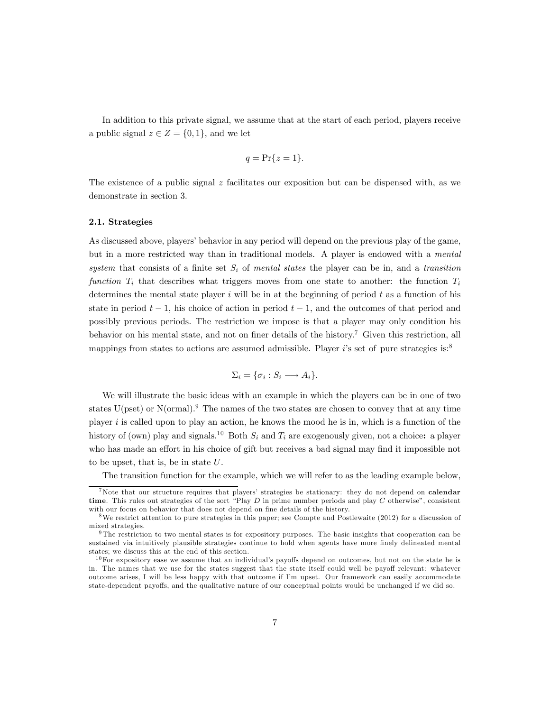In addition to this private signal, we assume that at the start of each period, players receive a public signal  $z \in Z = \{0, 1\}$ , and we let

$$
q = \Pr\{z = 1\}.
$$

The existence of a public signal  $z$  facilitates our exposition but can be dispensed with, as we demonstrate in section 3.

#### 2.1. Strategies

As discussed above, players' behavior in any period will depend on the previous play of the game, but in a more restricted way than in traditional models. A player is endowed with a mental system that consists of a finite set  $S_i$  of mental states the player can be in, and a transition function  $T_i$  that describes what triggers moves from one state to another: the function  $T_i$ determines the mental state player  $i$  will be in at the beginning of period  $t$  as a function of his state in period  $t-1$ , his choice of action in period  $t-1$ , and the outcomes of that period and possibly previous periods. The restriction we impose is that a player may only condition his behavior on his mental state, and not on finer details of the history.7 Given this restriction, all mappings from states to actions are assumed admissible. Player  $i$ 's set of pure strategies is:<sup>8</sup>

$$
\Sigma_i = \{\sigma_i : S_i \longrightarrow A_i\}.
$$

We will illustrate the basic ideas with an example in which the players can be in one of two states  $U(pset)$  or  $N(ormal).<sup>9</sup>$  The names of the two states are chosen to convey that at any time player  $i$  is called upon to play an action, he knows the mood he is in, which is a function of the history of (own) play and signals.<sup>10</sup> Both  $S_i$  and  $T_i$  are exogenously given, not a choice: a player who has made an effort in his choice of gift but receives a bad signal may find it impossible not to be upset, that is, be in state  $U$ .

The transition function for the example, which we will refer to as the leading example below,

<sup>&</sup>lt;sup>7</sup>Note that our structure requires that players' strategies be stationary: they do not depend on **calendar** time. This rules out strategies of the sort "Play  $D$  in prime number periods and play  $C$  otherwise", consistent with our focus on behavior that does not depend on fine details of the history.

<sup>8</sup>We restrict attention to pure strategies in this paper; see Compte and Postlewaite (2012) for a discussion of mixed strategies.

<sup>9</sup>The restriction to two mental states is for expository purposes. The basic insights that cooperation can be sustained via intuitively plausible strategies continue to hold when agents have more finely delineated mental states; we discuss this at the end of this section.

 $10$  For expository ease we assume that an individual's payoffs depend on outcomes, but not on the state he is in. The names that we use for the states suggest that the state itself could well be payoff relevant: whatever outcome arises, I will be less happy with that outcome if I'm upset. Our framework can easily accommodate state-dependent payoffs, and the qualitative nature of our conceptual points would be unchanged if we did so.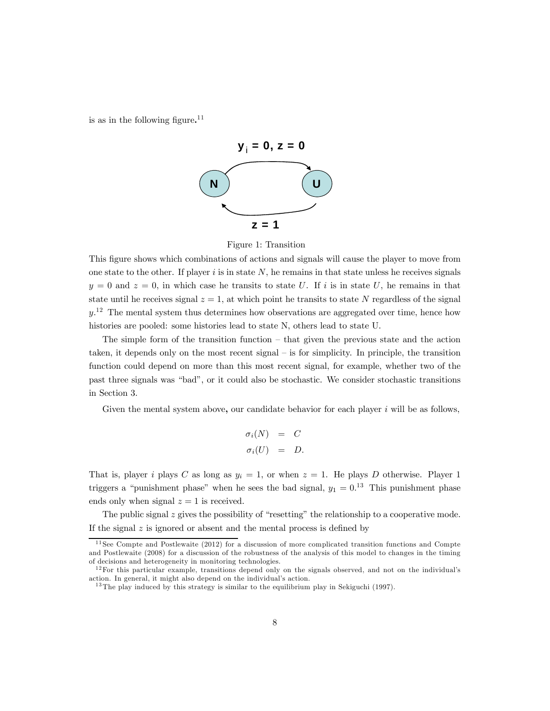is as in the following figure.<sup>11</sup>



Figure 1: Transition

This figure shows which combinations of actions and signals will cause the player to move from one state to the other. If player  $i$  is in state  $N$ , he remains in that state unless he receives signals  $y = 0$  and  $z = 0$ , in which case he transits to state U. If i is in state U, he remains in that state until he receives signal  $z = 1$ , at which point he transits to state N regardless of the signal  $y$ <sup>12</sup>. The mental system thus determines how observations are aggregated over time, hence how histories are pooled: some histories lead to state N, others lead to state U.

The simple form of the transition function — that given the previous state and the action taken, it depends only on the most recent signal — is for simplicity. In principle, the transition function could depend on more than this most recent signal, for example, whether two of the past three signals was "bad", or it could also be stochastic. We consider stochastic transitions in Section 3.

Given the mental system above, our candidate behavior for each player  $i$  will be as follows,

$$
\sigma_i(N) = C
$$
  

$$
\sigma_i(U) = D.
$$

That is, player *i* plays C as long as  $y_i = 1$ , or when  $z = 1$ . He plays D otherwise. Player 1 triggers a "punishment phase" when he sees the bad signal,  $y_1 = 0.13$  This punishment phase ends only when signal  $z = 1$  is received.

The public signal  $z$  gives the possibility of "resetting" the relationship to a cooperative mode. If the signal  $z$  is ignored or absent and the mental process is defined by

<sup>&</sup>lt;sup>11</sup> See Compte and Postlewaite  $(2012)$  for a discussion of more complicated transition functions and Compte and Postlewaite (2008) for a discussion of the robustness of the analysis of this model to changes in the timing of decisions and heterogeneity in monitoring technologies.

 $12$  For this particular example, transitions depend only on the signals observed, and not on the individual's action. In general, it might also depend on the individual's action.

 $13$  The play induced by this strategy is similar to the equilibrium play in Sekiguchi (1997).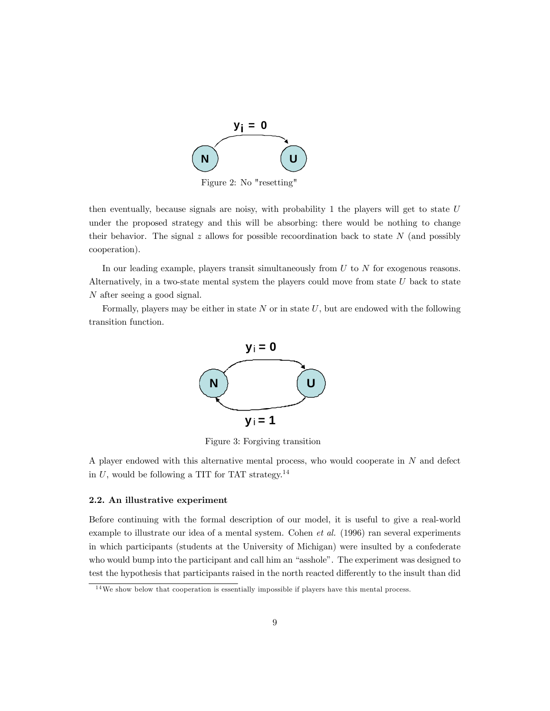

Figure 2: No "resetting"

then eventually, because signals are noisy, with probability 1 the players will get to state  $U$ under the proposed strategy and this will be absorbing: there would be nothing to change their behavior. The signal  $z$  allows for possible recoordination back to state  $N$  (and possibly cooperation).

In our leading example, players transit simultaneously from  $U$  to  $N$  for exogenous reasons. Alternatively, in a two-state mental system the players could move from state  $U$  back to state  $N$  after seeing a good signal.

Formally, players may be either in state  $N$  or in state  $U$ , but are endowed with the following transition function.



Figure 3: Forgiving transition

A player endowed with this alternative mental process, who would cooperate in  $N$  and defect in  $U$ , would be following a TIT for TAT strategy.<sup>14</sup>

#### 2.2. An illustrative experiment

Before continuing with the formal description of our model, it is useful to give a real-world example to illustrate our idea of a mental system. Cohen  $et al.$  (1996) ran several experiments in which participants (students at the University of Michigan) were insulted by a confederate who would bump into the participant and call him an "asshole". The experiment was designed to test the hypothesis that participants raised in the north reacted differently to the insult than did

 $14$ We show below that cooperation is essentially impossible if players have this mental process.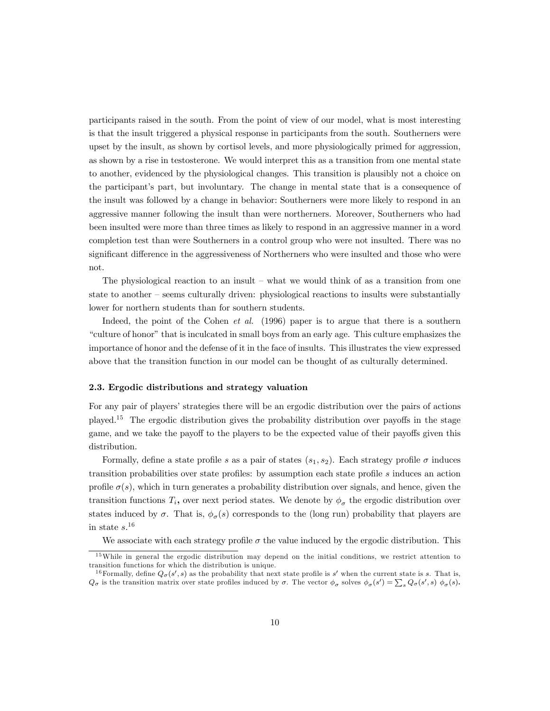participants raised in the south. From the point of view of our model, what is most interesting is that the insult triggered a physical response in participants from the south. Southerners were upset by the insult, as shown by cortisol levels, and more physiologically primed for aggression, as shown by a rise in testosterone. We would interpret this as a transition from one mental state to another, evidenced by the physiological changes. This transition is plausibly not a choice on the participant's part, but involuntary. The change in mental state that is a consequence of the insult was followed by a change in behavior: Southerners were more likely to respond in an aggressive manner following the insult than were northerners. Moreover, Southerners who had been insulted were more than three times as likely to respond in an aggressive manner in a word completion test than were Southerners in a control group who were not insulted. There was no significant difference in the aggressiveness of Northerners who were insulted and those who were not.

The physiological reaction to an insult  $-$  what we would think of as a transition from one state to another — seems culturally driven: physiological reactions to insults were substantially lower for northern students than for southern students.

Indeed, the point of the Cohen *et al.* (1996) paper is to argue that there is a southern "culture of honor" that is inculcated in small boys from an early age. This culture emphasizes the importance of honor and the defense of it in the face of insults. This illustrates the view expressed above that the transition function in our model can be thought of as culturally determined.

#### 2.3. Ergodic distributions and strategy valuation

For any pair of players' strategies there will be an ergodic distribution over the pairs of actions played.15 The ergodic distribution gives the probability distribution over payoffs in the stage game, and we take the payoff to the players to be the expected value of their payoffs given this distribution.

Formally, define a state profile s as a pair of states  $(s_1, s_2)$ . Each strategy profile  $\sigma$  induces transition probabilities over state profiles: by assumption each state profile s induces an action profile  $\sigma(s)$ , which in turn generates a probability distribution over signals, and hence, given the transition functions  $T_i$ , over next period states. We denote by  $\phi_{\sigma}$  the ergodic distribution over states induced by  $\sigma$ . That is,  $\phi_{\sigma}(s)$  corresponds to the (long run) probability that players are in state  $s$ <sup>16</sup>

We associate with each strategy profile  $\sigma$  the value induced by the ergodic distribution. This

<sup>&</sup>lt;sup>15</sup>While in general the ergodic distribution may depend on the initial conditions, we restrict attention to transition functions for which the distribution is unique.

<sup>&</sup>lt;sup>16</sup> Formally, define  $Q_{\sigma}(s', s)$  as the probability that next state profile is s' when the current state is s. That is,  $Q_{\sigma}$  is the transition matrix over state profiles induced by  $\sigma$ . The vector  $\phi_{\sigma}$  solves  $\phi_{\sigma}(s') = \sum_s Q_{\sigma}(s',s) \phi_{\sigma}(s)$ .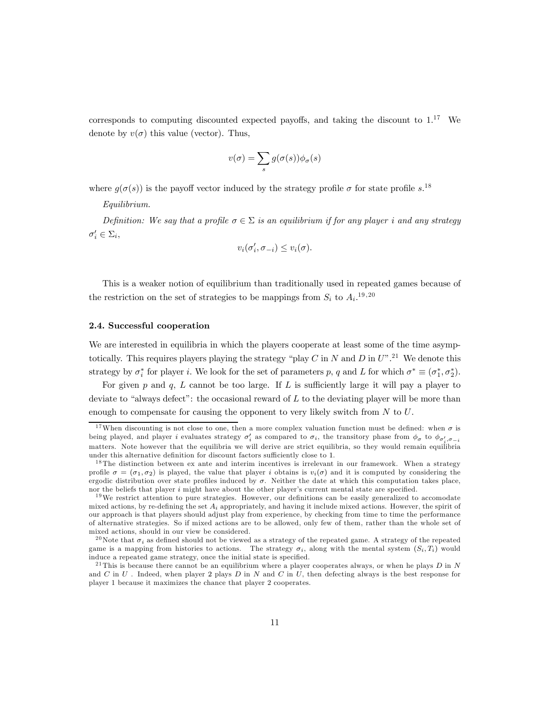corresponds to computing discounted expected payoffs, and taking the discount to  $1<sup>17</sup>$  We denote by  $v(\sigma)$  this value (vector). Thus,

$$
v(\sigma) = \sum_s g(\sigma(s)) \phi_\sigma(s)
$$

where  $g(\sigma(s))$  is the payoff vector induced by the strategy profile  $\sigma$  for state profile s.<sup>18</sup>

Equilibrium.

Definition: We say that a profile  $\sigma \in \Sigma$  is an equilibrium if for any player *i* and any strategy  $\sigma'_i \in \Sigma_i$ 

$$
v_i(\sigma'_i, \sigma_{-i}) \le v_i(\sigma).
$$

This is a weaker notion of equilibrium than traditionally used in repeated games because of the restriction on the set of strategies to be mappings from  $S_i$  to  $A_i$ .<sup>19,20</sup>

#### 2.4. Successful cooperation

We are interested in equilibria in which the players cooperate at least some of the time asymptotically. This requires players playing the strategy "play  $C$  in  $N$  and  $D$  in  $U$ ".<sup>21</sup> We denote this strategy by  $\sigma_i^*$  for player *i*. We look for the set of parameters p, q and L for which  $\sigma^* \equiv (\sigma_1^*, \sigma_2^*)$ .

For given  $p$  and  $q$ ,  $L$  cannot be too large. If  $L$  is sufficiently large it will pay a player to deviate to "always defect": the occasional reward of  $L$  to the deviating player will be more than enough to compensate for causing the opponent to very likely switch from  $N$  to  $U$ .

 $17$ When discounting is not close to one, then a more complex valuation function must be defined: when  $\sigma$  is being played, and player *i* evaluates strategy  $\sigma'_i$  as compared to  $\sigma_i$ , the transitory phase from  $\phi_{\sigma}$  to  $\phi_{\sigma'_i, \sigma_{-i}}$ matters. Note however that the equilibria we will derive are strict equilibria, so they would remain equilibria under this alternative definition for discount factors sufficiently close to 1.

<sup>&</sup>lt;sup>18</sup>The distinction between ex ante and interim incentives is irrelevant in our framework. When a strategy profile  $\sigma = (\sigma_1, \sigma_2)$  is played, the value that player *i* obtains is  $v_i(\sigma)$  and it is computed by considering the ergodic distribution over state profiles induced by  $\sigma$ . Neither the date at which this computation takes place, nor the beliefs that player  $i$  might have about the other player's current mental state are specified.

 $19\,\text{We restrict attention to pure strategies. However, our definitions can be easily generalized to accommodate}$ mixed actions, by re-defining the set  $A_i$  appropriately, and having it include mixed actions. However, the spirit of our approach is that players should adjust play from experience, by checking from time to time the performance of alternative strategies. So if mixed actions are to be allowed, only few of them, rather than the whole set of mixed actions, should in our view be considered.

<sup>&</sup>lt;sup>20</sup>Note that  $\sigma_i$  as defined should not be viewed as a strategy of the repeated game. A strategy of the repeated game is a mapping from histories to actions. The strategy  $\sigma_i$ , along with the mental system  $(S_i, T_i)$  would induce a repeated game strategy, once the initial state is specified.

<sup>&</sup>lt;sup>21</sup>This is because there cannot be an equilibrium where a player cooperates always, or when he plays  $D$  in  $N$ and  $C$  in  $U$ . Indeed, when player 2 plays  $D$  in  $N$  and  $C$  in  $U$ , then defecting always is the best response for player 1 because it maximizes the chance that player 2 cooperates.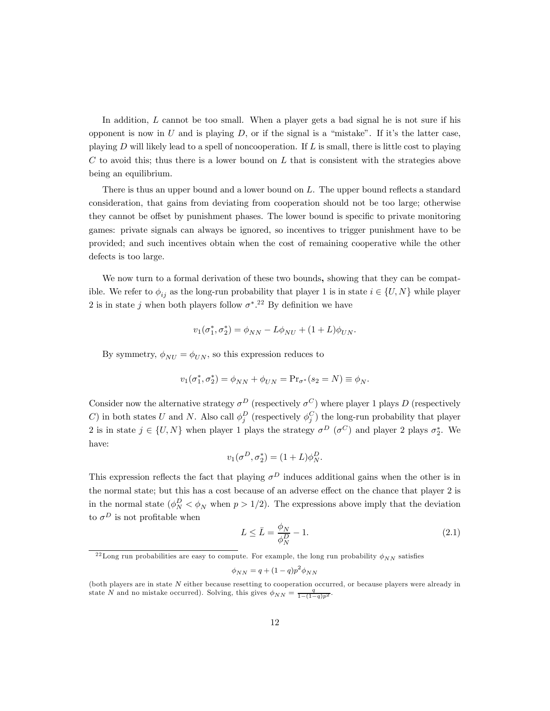In addition,  $L$  cannot be too small. When a player gets a bad signal he is not sure if his opponent is now in U and is playing  $D$ , or if the signal is a "mistake". If it's the latter case, playing  $D$  will likely lead to a spell of noncooperation. If  $L$  is small, there is little cost to playing C to avoid this; thus there is a lower bound on  $L$  that is consistent with the strategies above being an equilibrium.

There is thus an upper bound and a lower bound on  $L$ . The upper bound reflects a standard consideration, that gains from deviating from cooperation should not be too large; otherwise they cannot be offset by punishment phases. The lower bound is specific to private monitoring games: private signals can always be ignored, so incentives to trigger punishment have to be provided; and such incentives obtain when the cost of remaining cooperative while the other defects is too large.

We now turn to a formal derivation of these two bounds, showing that they can be compatible. We refer to  $\phi_{ij}$  as the long-run probability that player 1 is in state  $i \in \{U, N\}$  while player 2 is in state *j* when both players follow  $\sigma^*$ <sup>22</sup> By definition we have

$$
v_1(\sigma_1^*, \sigma_2^*) = \phi_{NN} - L\phi_{NU} + (1+L)\phi_{UN}.
$$

By symmetry,  $\phi_{NU} = \phi_{UN}$ , so this expression reduces to

$$
v_1(\sigma_1^*, \sigma_2^*) = \phi_{NN} + \phi_{UN} = Pr_{\sigma^*}(s_2 = N) \equiv \phi_N.
$$

Consider now the alternative strategy  $\sigma^D$  (respectively  $\sigma^C$ ) where player 1 plays D (respectively C) in both states U and N. Also call  $\phi_j^D$  (respectively  $\phi_j^C$ ) the long-run probability that player 2 is in state  $j \in \{U, N\}$  when player 1 plays the strategy  $\sigma^D$  ( $\sigma^C$ ) and player 2 plays  $\sigma_2^*$ . We have:

$$
v_1(\sigma^D, \sigma_2^*) = (1+L)\phi_N^D.
$$

This expression reflects the fact that playing  $\sigma^D$  induces additional gains when the other is in the normal state; but this has a cost because of an adverse effect on the chance that player 2 is in the normal state  $(\phi_N^D < \phi_N$  when  $p > 1/2)$ . The expressions above imply that the deviation to  $\sigma^D$  is not profitable when

$$
L \le \bar{L} = \frac{\phi_N}{\phi_N^D} - 1. \tag{2.1}
$$

$$
\phi_{NN} = q + (1-q)p^2 \phi_{NN}
$$

<sup>&</sup>lt;sup>22</sup>Long run probabilities are easy to compute. For example, the long run probability  $\phi_{NN}$  satisfies

<sup>(</sup>both players are in state  $N$  either because resetting to cooperation occurred, or because players were already in state N and no mistake occurred). Solving, this gives  $\phi_{NN} = \frac{q}{1 - (1 - q)p^2}$ .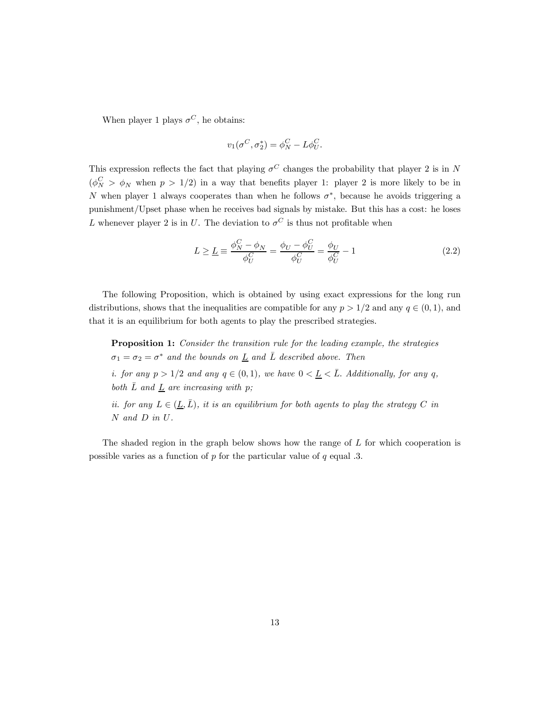When player 1 plays  $\sigma^C$ , he obtains:

$$
v_1(\sigma^C, \sigma_2^*) = \phi_N^C - L\phi_U^C.
$$

This expression reflects the fact that playing  $\sigma^C$  changes the probability that player 2 is in N  $(\phi_N^C > \phi_N$  when  $p > 1/2$ ) in a way that benefits player 1: player 2 is more likely to be in N when player 1 always cooperates than when he follows  $\sigma^*$ , because he avoids triggering a punishment/Upset phase when he receives bad signals by mistake. But this has a cost: he loses L whenever player 2 is in U. The deviation to  $\sigma^C$  is thus not profitable when

$$
L \ge \underline{L} \equiv \frac{\phi_N^C - \phi_N}{\phi_U^C} = \frac{\phi_U - \phi_U^C}{\phi_U^C} = \frac{\phi_U}{\phi_U^C} - 1
$$
\n(2.2)

The following Proposition, which is obtained by using exact expressions for the long run distributions, shows that the inequalities are compatible for any  $p > 1/2$  and any  $q \in (0, 1)$ , and that it is an equilibrium for both agents to play the prescribed strategies.

Proposition 1: Consider the transition rule for the leading example, the strategies  $\sigma_1 = \sigma_2 = \sigma^*$  and the bounds on  $\underline{L}$  and  $\overline{L}$  described above. Then

i. for any  $p > 1/2$  and any  $q \in (0,1)$ , we have  $0 < \underline{L} < \overline{L}$ . Additionally, for any q, both  $\overline{L}$  and  $\underline{L}$  are increasing with p;

ii. for any  $L \in (\underline{L}, \overline{L})$ , it is an equilibrium for both agents to play the strategy C in  $N$  and  $D$  in  $U$ .

The shaded region in the graph below shows how the range of  $L$  for which cooperation is possible varies as a function of  $p$  for the particular value of  $q$  equal 3.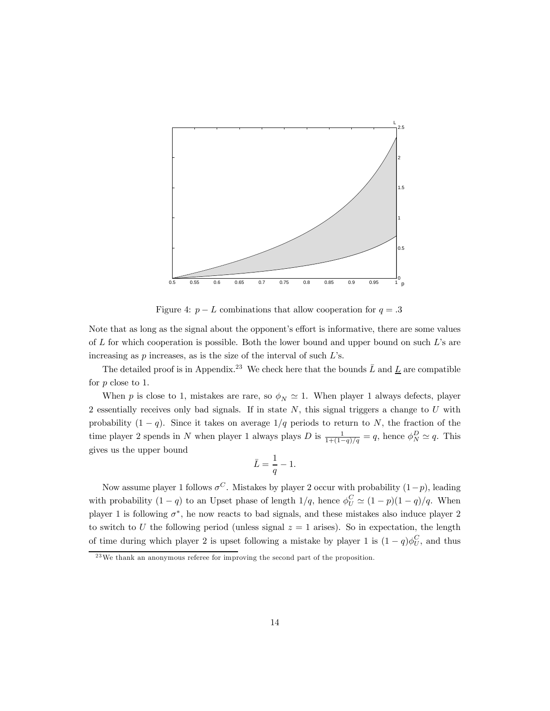

Figure 4:  $p - L$  combinations that allow cooperation for  $q = .3$ 

Note that as long as the signal about the opponent's effort is informative, there are some values of  $L$  for which cooperation is possible. Both the lower bound and upper bound on such  $L$ 's are increasing as  $p$  increases, as is the size of the interval of such  $L$ 's.

The detailed proof is in Appendix.<sup>23</sup> We check here that the bounds  $\overline{L}$  and  $\underline{L}$  are compatible for  $p$  close to 1.

When p is close to 1, mistakes are rare, so  $\phi_N \simeq 1$ . When player 1 always defects, player 2 essentially receives only bad signals. If in state  $N$ , this signal triggers a change to  $U$  with probability  $(1 - q)$ . Since it takes on average  $1/q$  periods to return to N, the fraction of the time player 2 spends in N when player 1 always plays D is  $\frac{1}{1+(1-q)/q} = q$ , hence  $\phi_N^D \simeq q$ . This gives us the upper bound

$$
\bar{L} = \frac{1}{q} - 1.
$$

Now assume player 1 follows  $\sigma^C$ . Mistakes by player 2 occur with probability  $(1-p)$ , leading with probability  $(1 - q)$  to an Upset phase of length  $1/q$ , hence  $\phi_U^C \simeq (1 - p)(1 - q)/q$ . When player 1 is following  $\sigma^*$ , he now reacts to bad signals, and these mistakes also induce player 2 to switch to U the following period (unless signal  $z = 1$  arises). So in expectation, the length of time during which player 2 is upset following a mistake by player 1 is  $(1 - q)\phi_U^C$ , and thus

 $23$ We thank an anonymous referee for improving the second part of the proposition.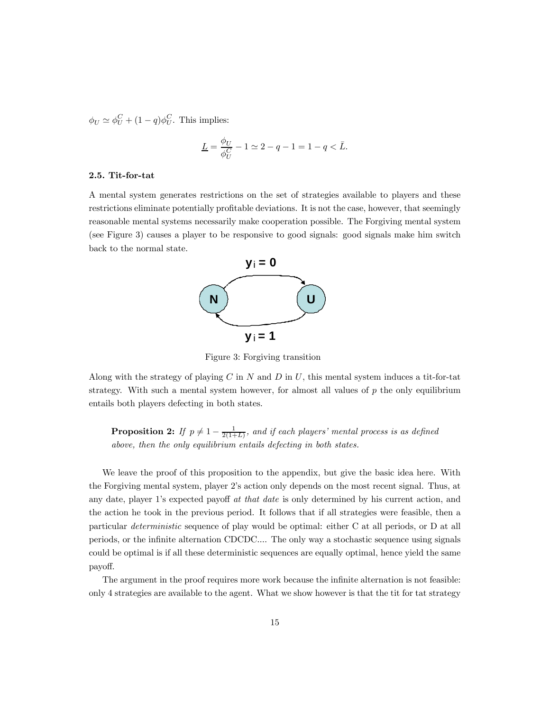$\phi_U \simeq \phi_U^C + (1-q)\phi_U^C$ . This implies:

$$
\underline{L} = \frac{\phi_U}{\phi_U^C} - 1 \simeq 2 - q - 1 = 1 - q < \bar{L}.
$$

#### 2.5. Tit-for-tat

A mental system generates restrictions on the set of strategies available to players and these restrictions eliminate potentially profitable deviations. It is not the case, however, that seemingly reasonable mental systems necessarily make cooperation possible. The Forgiving mental system (see Figure 3) causes a player to be responsive to good signals: good signals make him switch back to the normal state.



Figure 3: Forgiving transition

Along with the strategy of playing  $C$  in  $N$  and  $D$  in  $U$ , this mental system induces a tit-for-tat strategy. With such a mental system however, for almost all values of  $p$  the only equilibrium entails both players defecting in both states.

**Proposition 2:** If  $p \neq 1 - \frac{1}{2(1+L)}$ , and if each players' mental process is as defined above, then the only equilibrium entails defecting in both states.

We leave the proof of this proposition to the appendix, but give the basic idea here. With the Forgiving mental system, player 2's action only depends on the most recent signal. Thus, at any date, player 1's expected payoff at that date is only determined by his current action, and the action he took in the previous period. It follows that if all strategies were feasible, then a particular deterministic sequence of play would be optimal: either C at all periods, or D at all periods, or the infinite alternation CDCDC.... The only way a stochastic sequence using signals could be optimal is if all these deterministic sequences are equally optimal, hence yield the same payoff.

The argument in the proof requires more work because the infinite alternation is not feasible: only 4 strategies are available to the agent. What we show however is that the tit for tat strategy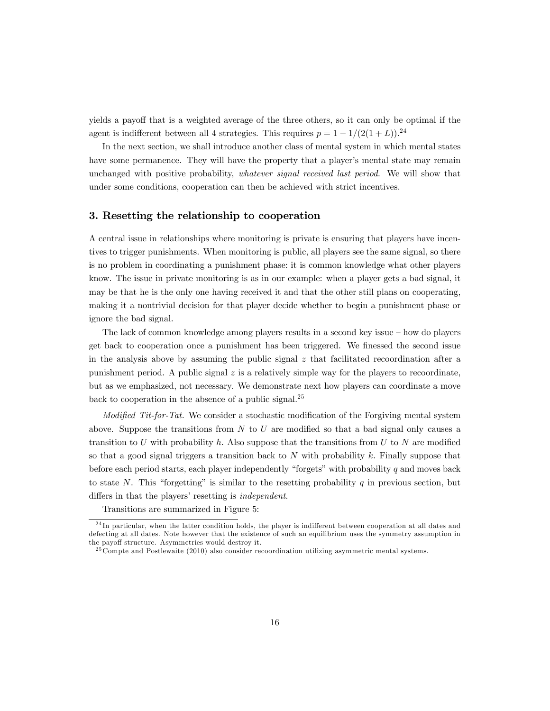yields a payoff that is a weighted average of the three others, so it can only be optimal if the agent is indifferent between all 4 strategies. This requires  $p = 1 - 1/(2(1+L))$ .<sup>24</sup>

In the next section, we shall introduce another class of mental system in which mental states have some permanence. They will have the property that a player's mental state may remain unchanged with positive probability, whatever signal received last period. We will show that under some conditions, cooperation can then be achieved with strict incentives.

#### 3. Resetting the relationship to cooperation

A central issue in relationships where monitoring is private is ensuring that players have incentives to trigger punishments. When monitoring is public, all players see the same signal, so there is no problem in coordinating a punishment phase: it is common knowledge what other players know. The issue in private monitoring is as in our example: when a player gets a bad signal, it may be that he is the only one having received it and that the other still plans on cooperating, making it a nontrivial decision for that player decide whether to begin a punishment phase or ignore the bad signal.

The lack of common knowledge among players results in a second key issue — how do players get back to cooperation once a punishment has been triggered. We finessed the second issue in the analysis above by assuming the public signal  $z$  that facilitated recoordination after a punishment period. A public signal  $z$  is a relatively simple way for the players to recoordinate, but as we emphasized, not necessary. We demonstrate next how players can coordinate a move back to cooperation in the absence of a public signal.25

Modified Tit-for-Tat. We consider a stochastic modification of the Forgiving mental system above. Suppose the transitions from  $N$  to  $U$  are modified so that a bad signal only causes a transition to U with probability h. Also suppose that the transitions from U to N are modified so that a good signal triggers a transition back to  $N$  with probability  $k$ . Finally suppose that before each period starts, each player independently "forgets" with probability  $q$  and moves back to state N. This "forgetting" is similar to the resetting probability  $q$  in previous section, but differs in that the players' resetting is independent.

Transitions are summarized in Figure 5:

 $^{24}$ In particular, when the latter condition holds, the player is indifferent between cooperation at all dates and defecting at all dates. Note however that the existence of such an equilibrium uses the symmetry assumption in the payoff structure. Asymmetries would destroy it.

 $^{25}$ Compte and Postlewaite (2010) also consider recoordination utilizing asymmetric mental systems.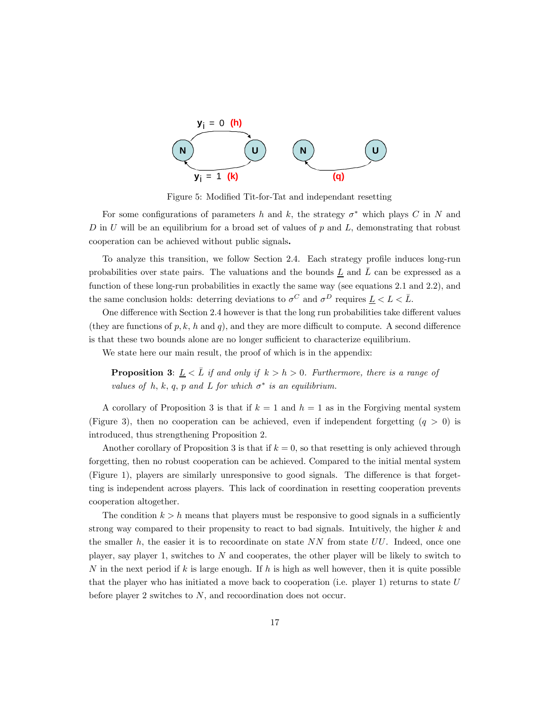

Figure 5: Modified Tit-for-Tat and independant resetting

For some configurations of parameters h and k, the strategy  $\sigma^*$  which plays C in N and D in U will be an equilibrium for a broad set of values of  $p$  and  $L$ , demonstrating that robust cooperation can be achieved without public signals.

To analyze this transition, we follow Section 2.4. Each strategy profile induces long-run probabilities over state pairs. The valuations and the bounds  $L$  and  $L$  can be expressed as a function of these long-run probabilities in exactly the same way (see equations 2.1 and 2.2), and the same conclusion holds: deterring deviations to  $\sigma^C$  and  $\sigma^D$  requires  $\underline{L} < L < \overline{L}$ .

One difference with Section 2.4 however is that the long run probabilities take different values (they are functions of  $p, k, h$  and  $q$ ), and they are more difficult to compute. A second difference is that these two bounds alone are no longer sufficient to characterize equilibrium.

We state here our main result, the proof of which is in the appendix:

**Proposition 3:**  $\underline{L} < L$  if and only if  $k > h > 0$ . Furthermore, there is a range of values of  $h, k, q, p$  and  $L$  for which  $\sigma^*$  is an equilibrium.

A corollary of Proposition 3 is that if  $k = 1$  and  $h = 1$  as in the Forgiving mental system (Figure 3), then no cooperation can be achieved, even if independent forgetting  $(q > 0)$  is introduced, thus strengthening Proposition 2.

Another corollary of Proposition 3 is that if  $k = 0$ , so that resetting is only achieved through forgetting, then no robust cooperation can be achieved. Compared to the initial mental system (Figure 1), players are similarly unresponsive to good signals. The difference is that forgetting is independent across players. This lack of coordination in resetting cooperation prevents cooperation altogether.

The condition  $k > h$  means that players must be responsive to good signals in a sufficiently strong way compared to their propensity to react to bad signals. Intuitively, the higher  $k$  and the smaller  $h$ , the easier it is to recoordinate on state  $NN$  from state  $UU$ . Indeed, once one player, say player 1, switches to  $N$  and cooperates, the other player will be likely to switch to N in the next period if  $k$  is large enough. If  $h$  is high as well however, then it is quite possible that the player who has initiated a move back to cooperation (i.e. player 1) returns to state  $U$ before player 2 switches to  $N$ , and recoordination does not occur.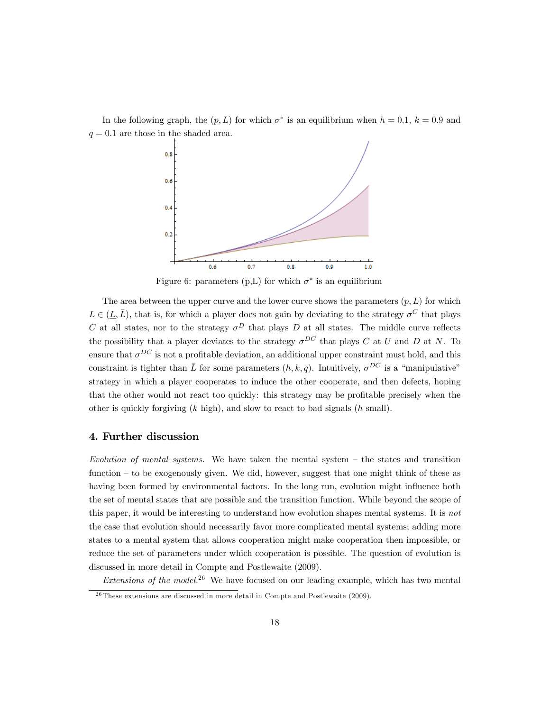In the following graph, the  $(p, L)$  for which  $\sigma^*$  is an equilibrium when  $h = 0.1$ ,  $k = 0.9$  and  $q = 0.1$  are those in the shaded area.



Figure 6: parameters (p,L) for which  $\sigma^*$  is an equilibrium

The area between the upper curve and the lower curve shows the parameters  $(p, L)$  for which  $L \in (\underline{L}, \overline{L})$ , that is, for which a player does not gain by deviating to the strategy  $\sigma^C$  that plays C at all states, nor to the strategy  $\sigma^D$  that plays D at all states. The middle curve reflects the possibility that a player deviates to the strategy  $\sigma^{DC}$  that plays C at U and D at N. To ensure that  $\sigma^{DC}$  is not a profitable deviation, an additional upper constraint must hold, and this constraint is tighter than  $\overline{L}$  for some parameters  $(h, k, q)$ . Intuitively,  $\sigma^{DC}$  is a "manipulative" strategy in which a player cooperates to induce the other cooperate, and then defects, hoping that the other would not react too quickly: this strategy may be profitable precisely when the other is quickly forgiving  $(k \text{ high})$ , and slow to react to bad signals  $(h \text{ small})$ .

## 4. Further discussion

Evolution of mental systems. We have taken the mental system  $-$  the states and transition function — to be exogenously given. We did, however, suggest that one might think of these as having been formed by environmental factors. In the long run, evolution might influence both the set of mental states that are possible and the transition function. While beyond the scope of this paper, it would be interesting to understand how evolution shapes mental systems. It is not the case that evolution should necessarily favor more complicated mental systems; adding more states to a mental system that allows cooperation might make cooperation then impossible, or reduce the set of parameters under which cooperation is possible. The question of evolution is discussed in more detail in Compte and Postlewaite (2009).

Extensions of the model.<sup>26</sup> We have focused on our leading example, which has two mental

 $26$ These extensions are discussed in more detail in Compte and Postlewaite (2009).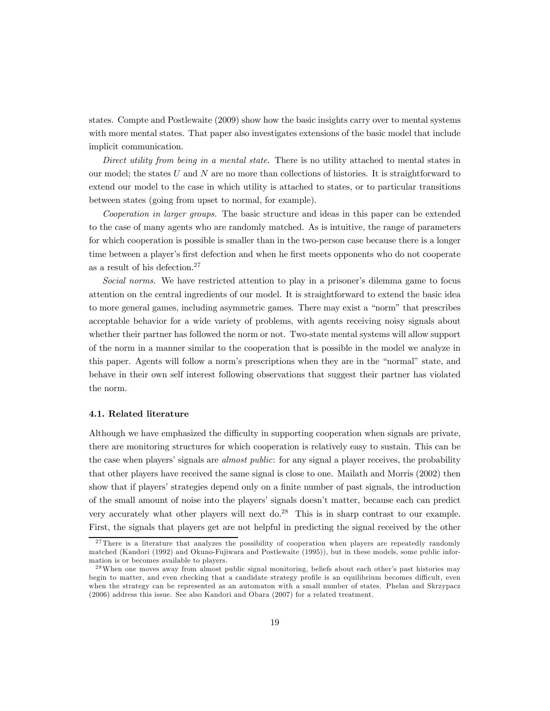states. Compte and Postlewaite (2009) show how the basic insights carry over to mental systems with more mental states. That paper also investigates extensions of the basic model that include implicit communication.

Direct utility from being in a mental state. There is no utility attached to mental states in our model; the states  $U$  and  $N$  are no more than collections of histories. It is straightforward to extend our model to the case in which utility is attached to states, or to particular transitions between states (going from upset to normal, for example).

Cooperation in larger groups. The basic structure and ideas in this paper can be extended to the case of many agents who are randomly matched. As is intuitive, the range of parameters for which cooperation is possible is smaller than in the two-person case because there is a longer time between a player's first defection and when he first meets opponents who do not cooperate as a result of his defection.27

Social norms. We have restricted attention to play in a prisoner's dilemma game to focus attention on the central ingredients of our model. It is straightforward to extend the basic idea to more general games, including asymmetric games. There may exist a "norm" that prescribes acceptable behavior for a wide variety of problems, with agents receiving noisy signals about whether their partner has followed the norm or not. Two-state mental systems will allow support of the norm in a manner similar to the cooperation that is possible in the model we analyze in this paper. Agents will follow a norm's prescriptions when they are in the "normal" state, and behave in their own self interest following observations that suggest their partner has violated the norm.

#### 4.1. Related literature

Although we have emphasized the difficulty in supporting cooperation when signals are private, there are monitoring structures for which cooperation is relatively easy to sustain. This can be the case when players' signals are *almost public*: for any signal a player receives, the probability that other players have received the same signal is close to one. Mailath and Morris (2002) then show that if players' strategies depend only on a finite number of past signals, the introduction of the small amount of noise into the players' signals doesn't matter, because each can predict very accurately what other players will next  $d\sigma$ <sup>28</sup>. This is in sharp contrast to our example. First, the signals that players get are not helpful in predicting the signal received by the other

 $27$  There is a literature that analyzes the possibility of cooperation when players are repeatedly randomly matched (Kandori (1992) and Okuno-Fujiwara and Postlewaite (1995)), but in these models, some public information is or becomes available to players.

<sup>&</sup>lt;sup>28</sup>When one moves away from almost public signal monitoring, beliefs about each other's past histories may begin to matter, and even checking that a candidate strategy profile is an equilibrium becomes difficult, even when the strategy can be represented as an automaton with a small number of states. Phelan and Skrzypacz (2006) address this issue. See also Kandori and Obara (2007) for a related treatment.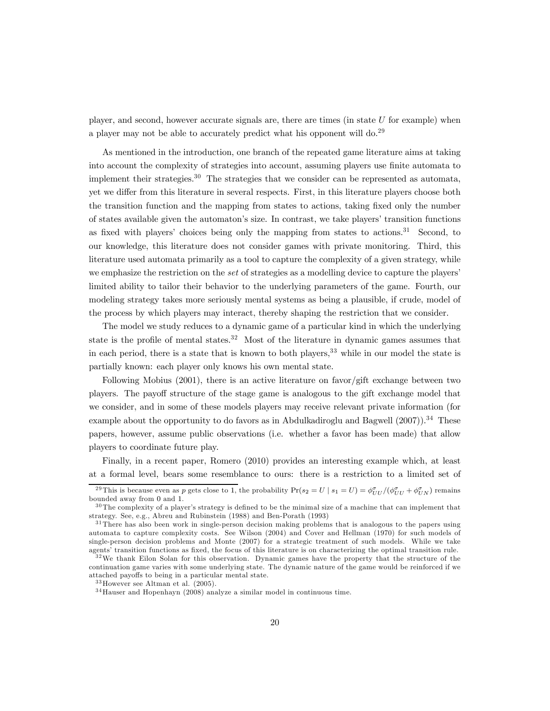player, and second, however accurate signals are, there are times (in state  $U$  for example) when a player may not be able to accurately predict what his opponent will do.<sup>29</sup>

As mentioned in the introduction, one branch of the repeated game literature aims at taking into account the complexity of strategies into account, assuming players use finite automata to implement their strategies.<sup>30</sup> The strategies that we consider can be represented as automata, yet we differ from this literature in several respects. First, in this literature players choose both the transition function and the mapping from states to actions, taking fixed only the number of states available given the automaton's size. In contrast, we take players' transition functions as fixed with players' choices being only the mapping from states to actions.<sup>31</sup> Second, to our knowledge, this literature does not consider games with private monitoring. Third, this literature used automata primarily as a tool to capture the complexity of a given strategy, while we emphasize the restriction on the set of strategies as a modelling device to capture the players' limited ability to tailor their behavior to the underlying parameters of the game. Fourth, our modeling strategy takes more seriously mental systems as being a plausible, if crude, model of the process by which players may interact, thereby shaping the restriction that we consider.

The model we study reduces to a dynamic game of a particular kind in which the underlying state is the profile of mental states.32 Most of the literature in dynamic games assumes that in each period, there is a state that is known to both players,  $33$  while in our model the state is partially known: each player only knows his own mental state.

Following Mobius (2001), there is an active literature on favor/gift exchange between two players. The payoff structure of the stage game is analogous to the gift exchange model that we consider, and in some of these models players may receive relevant private information (for example about the opportunity to do favors as in Abdulkadiroglu and Bagwell  $(2007)$ .<sup>34</sup> These papers, however, assume public observations (i.e. whether a favor has been made) that allow players to coordinate future play.

Finally, in a recent paper, Romero (2010) provides an interesting example which, at least at a formal level, bears some resemblance to ours: there is a restriction to a limited set of

<sup>&</sup>lt;sup>29</sup>This is because even as p gets close to 1, the probability  $Pr(s_2 = U \mid s_1 = U) = \phi_{UU}^{\sigma}/(\phi_{UU}^{\sigma} + \phi_{UN}^{\sigma})$  remains bounded away from 0 and 1.

<sup>&</sup>lt;sup>30</sup>The complexity of a player's strategy is defined to be the minimal size of a machine that can implement that strategy. See, e.g., Abreu and Rubinstein (1988) and Ben-Porath (1993)

<sup>&</sup>lt;sup>31</sup>There has also been work in single-person decision making problems that is analogous to the papers using automata to capture complexity costs. See Wilson (2004) and Cover and Hellman (1970) for such models of single-person decision problems and Monte (2007) for a strategic treatment of such models. While we take agents' transition functions as fixed, the focus of this literature is on characterizing the optimal transition rule.

<sup>&</sup>lt;sup>32</sup>We thank Eilon Solan for this observation. Dynamic games have the property that the structure of the continuation game varies with some underlying state. The dynamic nature of the game would be reinforced if we attached payoffs to being in a particular mental state.

 $33$ However see Altman et al.  $(2005)$ .

<sup>3 4</sup>Hauser and Hopenhayn (2008) analyze a similar model in continuous time.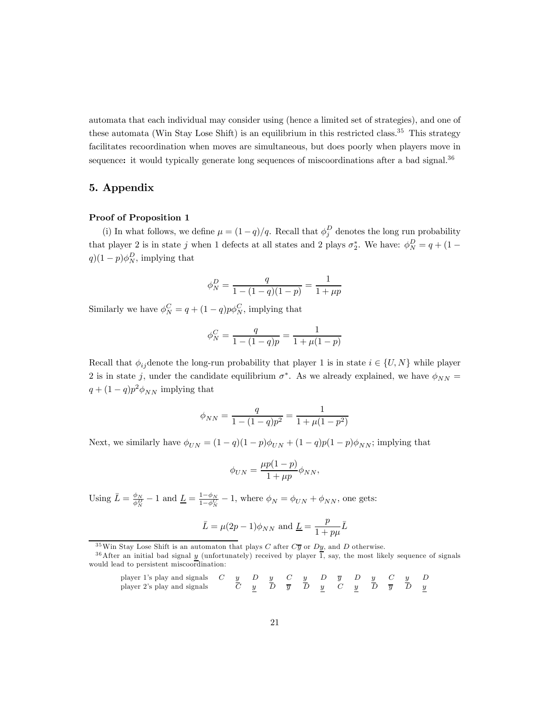automata that each individual may consider using (hence a limited set of strategies), and one of these automata (Win Stay Lose Shift) is an equilibrium in this restricted class.<sup>35</sup> This strategy facilitates recoordination when moves are simultaneous, but does poorly when players move in sequence: it would typically generate long sequences of miscoordinations after a bad signal.<sup>36</sup>

# 5. Appendix

#### Proof of Proposition 1

(i) In what follows, we define  $\mu = (1 - q)/q$ . Recall that  $\phi_j^D$  denotes the long run probability that player 2 is in state *j* when 1 defects at all states and 2 plays  $\sigma_2^*$ . We have:  $\phi_N^D = q + (1 - \sigma_2^D)$  $q(1-p)\phi_N^D$ , implying that

$$
\phi_N^D = \frac{q}{1 - (1 - q)(1 - p)} = \frac{1}{1 + \mu p}
$$

Similarly we have  $\phi_N^C = q + (1 - q)p\phi_N^C$ , implying that

$$
\phi_N^C = \frac{q}{1 - (1 - q)p} = \frac{1}{1 + \mu(1 - p)}
$$

Recall that  $\phi_{ij}$  denote the long-run probability that player 1 is in state  $i \in \{U, N\}$  while player 2 is in state j, under the candidate equilibrium  $\sigma^*$ . As we already explained, we have  $\phi_{NN}$  =  $q + (1 - q)p^2 \phi_{NN}$  implying that

$$
\phi_{NN} = \frac{q}{1 - (1 - q)p^2} = \frac{1}{1 + \mu(1 - p^2)}
$$

Next, we similarly have  $\phi_{UN} = (1 - q)(1 - p)\phi_{UN} + (1 - q)p(1 - p)\phi_{NN}$ ; implying that

$$
\phi_{UN} = \frac{\mu p(1-p)}{1 + \mu p} \phi_{NN},
$$

Using  $\bar{L} = \frac{\phi_N}{\phi_N^D} - 1$  and  $\underline{L} = \frac{1-\phi_N}{1-\phi_N^C} - 1$ , where  $\phi_N = \phi_{UN} + \phi_{NN}$ , one gets:

$$
\bar{L} = \mu(2p - 1)\phi_{NN} \text{ and } \underline{L} = \frac{p}{1 + p\mu}\bar{L}
$$

player 1's play and signals  $C$  y  $D$  y  $C$  y  $D$   $\overline{y}$   $D$   $\overline{y}$   $D$  y  $C$  y  $D$ player 2's play and signals  $C$  y  $D$   $\overline{y}$   $D$  y  $C$  y  $D$   $\overline{y}$   $D$  y

 $35$ Win Stay Lose Shift is an automaton that plays C after  $C\overline{y}$  or Dy, and D otherwise.

<sup>&</sup>lt;sup>36</sup>After an initial bad signal  $y$  (unfortunately) received by player  $\overline{1}$ , say, the most likely sequence of signals would lead to persistent miscoordination: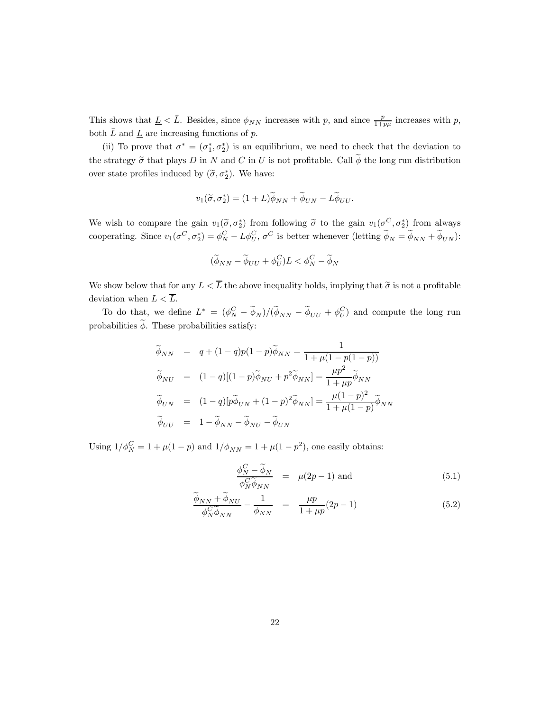This shows that  $\underline{L} < \overline{L}$ . Besides, since  $\phi_{NN}$  increases with p, and since  $\frac{p}{1+p\mu}$  increases with p, both  $\bar{L}$  and  $\underline{L}$  are increasing functions of  $p$ .

(ii) To prove that  $\sigma^* = (\sigma_1^*, \sigma_2^*)$  is an equilibrium, we need to check that the deviation to the strategy  $\tilde{\sigma}$  that plays D in N and C in U is not profitable. Call  $\tilde{\phi}$  the long run distribution over state profiles induced by  $(\tilde{\sigma}, \sigma_2^*)$ . We have:

$$
v_1(\widetilde{\sigma}, \sigma_2^*) = (1+L)\widetilde{\phi}_{NN} + \widetilde{\phi}_{UN} - L\widetilde{\phi}_{UU}.
$$

We wish to compare the gain  $v_1(\tilde{\sigma}, \sigma_2^*)$  from following  $\tilde{\sigma}$  to the gain  $v_1(\sigma^C, \sigma_2^*)$  from always cooperating. Since  $v_1(\sigma^C, \sigma_2^*) = \phi_N^C - L\phi_U^C$ ,  $\sigma^C$  is better whenever (letting  $\widetilde{\phi}_N = \widetilde{\phi}_{NN} + \widetilde{\phi}_{UN}$ ):

$$
(\widetilde{\phi}_{NN}-\widetilde{\phi}_{UU}+\phi^C_U)L<\phi^C_N-\widetilde{\phi}_N
$$

We show below that for any  $L < \overline{L}$  the above inequality holds, implying that  $\tilde{\sigma}$  is not a profitable deviation when  $L < \overline{L}$ .

To do that, we define  $L^* = (\phi_N^C - \tilde{\phi}_N)/(\tilde{\phi}_{NN} - \tilde{\phi}_{UU} + \phi_U^C)$  and compute the long run probabilities  $\phi$ . These probabilities satisfy:

$$
\widetilde{\phi}_{NN} = q + (1 - q)p(1 - p)\widetilde{\phi}_{NN} = \frac{1}{1 + \mu(1 - p(1 - p))}
$$
\n
$$
\widetilde{\phi}_{NU} = (1 - q)[(1 - p)\widetilde{\phi}_{NU} + p^2 \widetilde{\phi}_{NN}] = \frac{\mu p^2}{1 + \mu p} \widetilde{\phi}_{NN}
$$
\n
$$
\widetilde{\phi}_{UN} = (1 - q)[p\widetilde{\phi}_{UN} + (1 - p)^2 \widetilde{\phi}_{NN}] = \frac{\mu(1 - p)^2}{1 + \mu(1 - p)} \widetilde{\phi}_{NN}
$$
\n
$$
\widetilde{\phi}_{UU} = 1 - \widetilde{\phi}_{NN} - \widetilde{\phi}_{NU} - \widetilde{\phi}_{UN}
$$

Using  $1/\phi_N^C = 1 + \mu(1 - p)$  and  $1/\phi_{NN} = 1 + \mu(1 - p^2)$ , one easily obtains:

$$
\frac{\phi_N^C - \widetilde{\phi}_N}{\phi_N^C \widetilde{\phi}_{NN}} = \mu(2p - 1) \text{ and } (5.1)
$$

$$
\frac{\phi_{NN} + \phi_{NU}}{\phi_N^C \widetilde{\phi}_{NN}} - \frac{1}{\phi_{NN}} = \frac{\mu p}{1 + \mu p} (2p - 1) \tag{5.2}
$$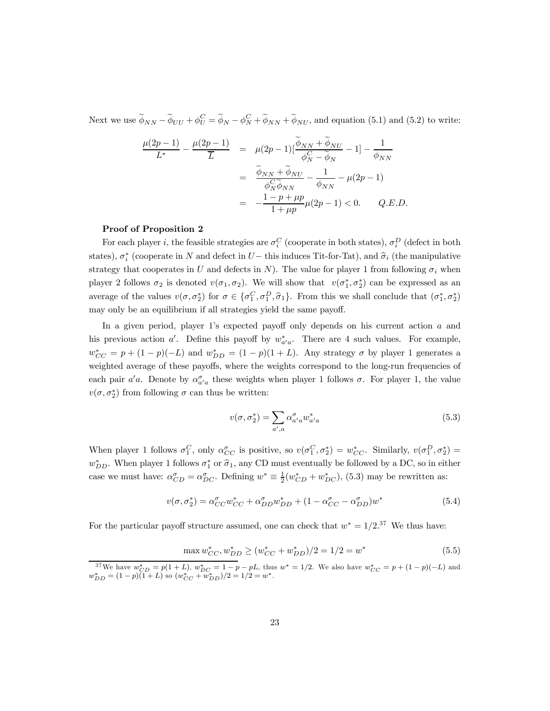Next we use  $\widetilde{\phi}_{NN} - \widetilde{\phi}_{UU} + \phi_U^C = \widetilde{\phi}_N - \phi_N^C + \widetilde{\phi}_{NN} + \widetilde{\phi}_{NU}$ , and equation (5.1) and (5.2) to write:

$$
\frac{\mu(2p-1)}{L^*} - \frac{\mu(2p-1)}{\overline{L}} = \mu(2p-1)[\frac{\widetilde{\phi}_{NN} + \widetilde{\phi}_{NU}}{\phi_N^C - \widetilde{\phi}_N} - 1] - \frac{1}{\phi_{NN}} \n= \frac{\widetilde{\phi}_{NN} + \widetilde{\phi}_{NU}}{\phi_N^C \widetilde{\phi}_{NN}} - \frac{1}{\phi_{NN}} - \mu(2p-1) \n= -\frac{1 - p + \mu p}{1 + \mu p} \mu(2p - 1) < 0. \quad Q.E.D.
$$

#### Proof of Proposition 2

For each player *i*, the feasible strategies are  $\sigma_i^C$  (cooperate in both states),  $\sigma_i^D$  (defect in both states),  $\sigma_i^*$  (cooperate in N and defect in  $U$  – this induces Tit-for-Tat), and  $\hat{\sigma}_i$  (the manipulative strategy that cooperates in U and defects in N). The value for player 1 from following  $\sigma_i$  when player 2 follows  $\sigma_2$  is denoted  $v(\sigma_1, \sigma_2)$ . We will show that  $v(\sigma_1^*, \sigma_2^*)$  can be expressed as an average of the values  $v(\sigma, \sigma_2^*)$  for  $\sigma \in {\{\sigma_1^C, \sigma_1^D, \hat{\sigma}_1\}}$ . From this we shall conclude that  $(\sigma_1^*, \sigma_2^*)$ may only be an equilibrium if all strategies yield the same payoff.

In a given period, player 1's expected payoff only depends on his current action  $a$  and his previous action  $a'$ . Define this payoff by  $w_{a'a}^*$ . There are 4 such values. For example,  $w_{CC}^* = p + (1 - p)(-L)$  and  $w_{DD}^* = (1 - p)(1 + L)$ . Any strategy  $\sigma$  by player 1 generates a weighted average of these payoffs, where the weights correspond to the long-run frequencies of each pair  $a'a$ . Denote by  $\alpha_{a'a}^{\sigma}$  these weights when player 1 follows  $\sigma$ . For player 1, the value  $v(\sigma, \sigma_2^*)$  from following  $\sigma$  can thus be written:

$$
v(\sigma, \sigma_2^*) = \sum_{a',a} \alpha_{a'a}^{\sigma} w_{a'a}^* \tag{5.3}
$$

When player 1 follows  $\sigma_1^C$ , only  $\alpha_{CC}^{\sigma}$  is positive, so  $v(\sigma_1^C, \sigma_2^*) = w_{CC}^*$ . Similarly,  $v(\sigma_1^D, \sigma_2^*) =$  $w_{DD}^*$ . When player 1 follows  $\sigma_1^*$  or  $\hat{\sigma}_1$ , any CD must eventually be followed by a DC, so in either case we must have:  $\alpha_{CD}^{\sigma} = \alpha_{DC}^{\sigma}$ . Defining  $w^* \equiv \frac{1}{2}(w_{CD}^* + w_{DC}^*)$ , (5.3) may be rewritten as:

$$
v(\sigma, \sigma_2^*) = \alpha_{CC}^{\sigma} w_{CC}^* + \alpha_{DD}^{\sigma} w_{DD}^* + (1 - \alpha_{CC}^{\sigma} - \alpha_{DD}^{\sigma}) w^* \tag{5.4}
$$

For the particular payoff structure assumed, one can check that  $w^* = 1/2$ .<sup>37</sup> We thus have:

$$
\max w_{CC}^*, w_{DD}^* \ge (w_{CC}^* + w_{DD}^*)/2 = 1/2 = w^*
$$
\n(5.5)

<sup>&</sup>lt;sup>37</sup>We have  $w_{CD}^* = p(1 + L)$ ,  $w_{DC}^* = 1 - p - pL$ , thus  $w^* = 1/2$ . We also have  $w_{CC}^* = p + (1 - p)(-L)$  and  $w_{DD}^* = (1 - p)(1 + L)$  so  $(w_{CC}^* + w_{DD}^*)/2 = 1/2 = w^*$ .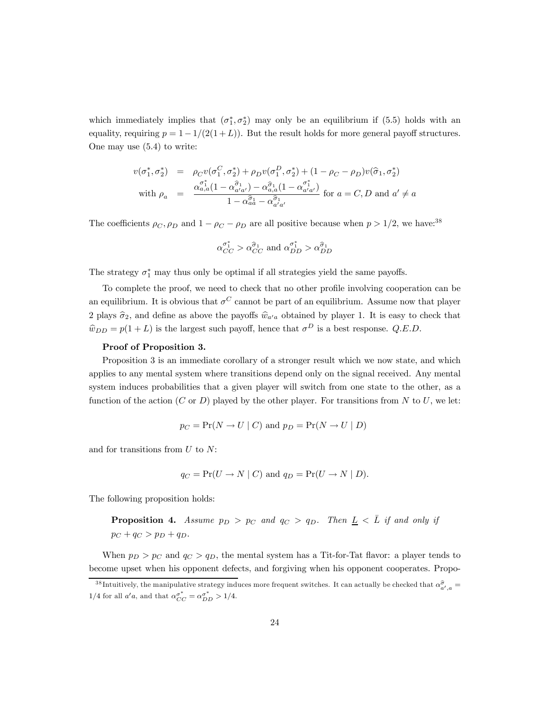which immediately implies that  $(\sigma_1^*, \sigma_2^*)$  may only be an equilibrium if (5.5) holds with an equality, requiring  $p = 1 - 1/(2(1 + L))$ . But the result holds for more general payoff structures. One may use (5.4) to write:

$$
v(\sigma_1^*, \sigma_2^*) = \rho_C v(\sigma_1^C, \sigma_2^*) + \rho_D v(\sigma_1^D, \sigma_2^*) + (1 - \rho_C - \rho_D) v(\hat{\sigma}_1, \sigma_2^*)
$$
  
with 
$$
\rho_a = \frac{\alpha_{a,a}^{\sigma_1^*}(1 - \alpha_{a'a'}^{\hat{\sigma}_1}) - \alpha_{a,a}^{\hat{\sigma}_1}(1 - \alpha_{a'a'}^{\sigma_1^*})}{1 - \alpha_{aa}^{\hat{\sigma}_1} - \alpha_{a'a'}^{\hat{\sigma}_1^*}}
$$
 for  $a = C, D$  and  $a' \neq a$ 

The coefficients  $\rho_C$ ,  $\rho_D$  and  $1 - \rho_C - \rho_D$  are all positive because when  $p > 1/2$ , we have:<sup>38</sup>

$$
\alpha_{CC}^{\sigma_1^*} > \alpha_{CC}^{\hat{\sigma}_1}
$$
 and  $\alpha_{DD}^{\sigma_1^*} > \alpha_{DD}^{\hat{\sigma}_1}$ 

The strategy  $\sigma_1^*$  may thus only be optimal if all strategies yield the same payoffs.

To complete the proof, we need to check that no other profile involving cooperation can be an equilibrium. It is obvious that  $\sigma^C$  cannot be part of an equilibrium. Assume now that player 2 plays  $\hat{\sigma}_2$ , and define as above the payoffs  $\hat{w}_{a'a}$  obtained by player 1. It is easy to check that  $\hat{w}_{DD} = p(1 + L)$  is the largest such payoff, hence that  $\sigma^D$  is a best response. Q.E.D.

#### Proof of Proposition 3.

Proposition 3 is an immediate corollary of a stronger result which we now state, and which applies to any mental system where transitions depend only on the signal received. Any mental system induces probabilities that a given player will switch from one state to the other, as a function of the action  $(C \text{ or } D)$  played by the other player. For transitions from N to U, we let:

$$
p_C = Pr(N \rightarrow U \mid C)
$$
 and  $p_D = Pr(N \rightarrow U \mid D)$ 

and for transitions from  $U$  to  $N$ :

$$
q_C = \Pr(U \to N \mid C)
$$
 and  $q_D = \Pr(U \to N \mid D)$ .

The following proposition holds:

**Proposition 4.** Assume  $p_D > p_C$  and  $q_C > q_D$ . Then  $\underline{L} < \overline{L}$  if and only if  $p_C + q_C > p_D + q_D.$ 

When  $p_D > p_C$  and  $q_C > q_D$ , the mental system has a Tit-for-Tat flavor: a player tends to become upset when his opponent defects, and forgiving when his opponent cooperates. Propo-

<sup>&</sup>lt;sup>38</sup>Intuitively, the manipulative strategy induces more frequent switches. It can actually be checked that  $\alpha_{a',a}^{\hat{\sigma}} =$ 1/4 for all  $a'a$ , and that  $\alpha_{CC}^{\sigma^*} = \alpha_{DD}^{\sigma^*} > 1/4$ .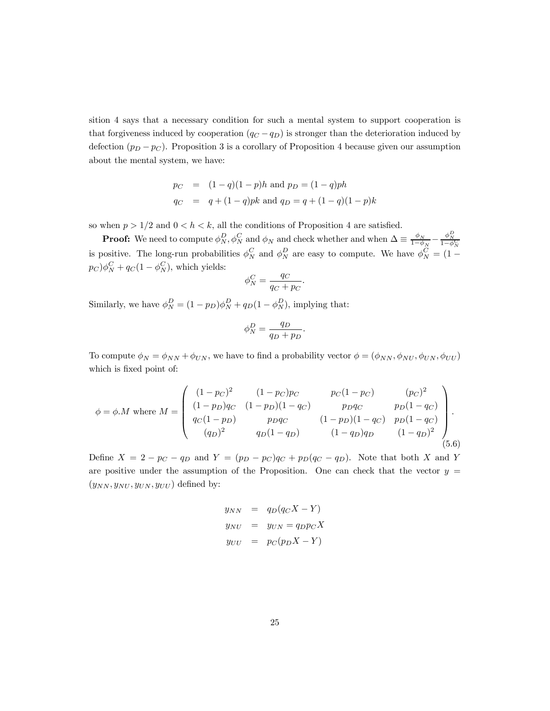sition 4 says that a necessary condition for such a mental system to support cooperation is that forgiveness induced by cooperation  $(q_C - q_D)$  is stronger than the deterioration induced by defection  $(p_D - p_C)$ . Proposition 3 is a corollary of Proposition 4 because given our assumption about the mental system, we have:

$$
p_C = (1 - q)(1 - p)h \text{ and } p_D = (1 - q)ph
$$
  

$$
q_C = q + (1 - q)pk \text{ and } q_D = q + (1 - q)(1 - p)k
$$

so when  $p > 1/2$  and  $0 < h < k$ , all the conditions of Proposition 4 are satisfied.

**Proof:** We need to compute  $\phi_N^D$ ,  $\phi_N^C$  and  $\phi_N$  and check whether and when  $\Delta \equiv \frac{\phi_N}{1-\phi_N^C} - \frac{\phi_N^D}{1-\phi_N^C}$  is positive. The long-run probabilities  $\phi_N^C$  and  $\phi_N^D$  are easy to compute. We have  $\phi_N^C = (1-\phi_N^C$  $p_C)\phi_N^C + q_C(1 - \phi_N^C)$ , which yields:

$$
\phi_N^C = \frac{q_C}{q_C + p_C}.
$$

Similarly, we have  $\phi_N^D = (1 - p_D)\phi_N^D + q_D(1 - \phi_N^D)$ , implying that:

$$
\phi_N^D = \frac{q_D}{q_D + p_D}
$$

 $\ddot{\phantom{0}}$ 

To compute  $\phi_N = \phi_{NN} + \phi_{UN}$ , we have to find a probability vector  $\phi = (\phi_{NN}, \phi_{NU}, \phi_{UN}, \phi_{UU})$ which is fixed point of:

$$
\phi = \phi.M \text{ where } M = \begin{pmatrix} (1 - pc)^2 & (1 - pc)p_C & pc(1 - pc) & (pc)^2 \\ (1 - p_D)q_C & (1 - p_D)(1 - q_C) & p_Dq_C & p_D(1 - q_C) \\ q_C(1 - p_D) & p_Dq_C & (1 - p_D)(1 - q_C) & p_D(1 - q_C) \\ (q_D)^2 & q_D(1 - q_D) & (1 - q_D)q_D & (1 - q_D)^2 \end{pmatrix}.
$$
\n(5.6)

Define  $X = 2 - p_C - q_D$  and  $Y = (p_D - p_C)q_C + p_D(q_C - q_D)$ . Note that both X and Y are positive under the assumption of the Proposition. One can check that the vector  $y =$  $(y_{NN}, y_{NU}, y_{UN}, y_{UU})$  defined by:

$$
y_{NN} = q_D(q_C X - Y)
$$
  
\n
$$
y_{NU} = y_{UN} = q_D p_C X
$$
  
\n
$$
y_{UU} = p_C(p_D X - Y)
$$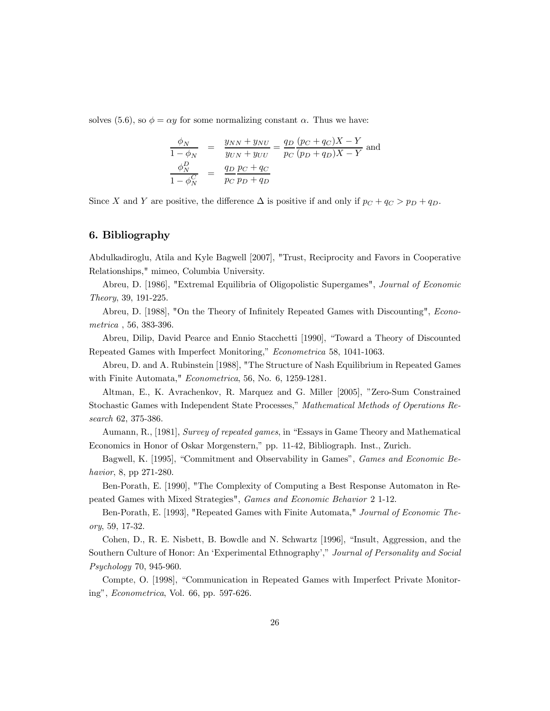solves (5.6), so  $\phi = \alpha y$  for some normalizing constant  $\alpha$ . Thus we have:

$$
\frac{\phi_N}{1 - \phi_N} = \frac{y_{NN} + y_{NU}}{y_{UN} + y_{UU}} = \frac{q_D (p_C + q_C)X - Y}{p_C (p_D + q_D)X - Y}
$$
 and  

$$
\frac{\phi_N^D}{1 - \phi_N^C} = \frac{q_D p_C + q_C}{p_C p_D + q_D}
$$

Since X and Y are positive, the difference  $\Delta$  is positive if and only if  $p_C + q_C > p_D + q_D$ .

# 6. Bibliography

Abdulkadiroglu, Atila and Kyle Bagwell [2007], "Trust, Reciprocity and Favors in Cooperative Relationships," mimeo, Columbia University.

Abreu, D. [1986], "Extremal Equilibria of Oligopolistic Supergames", Journal of Economic Theory, 39, 191-225.

Abreu, D. [1988], "On the Theory of Infinitely Repeated Games with Discounting", Econometrica , 56, 383-396.

Abreu, Dilip, David Pearce and Ennio Stacchetti [1990], "Toward a Theory of Discounted Repeated Games with Imperfect Monitoring," Econometrica 58, 1041-1063.

Abreu, D. and A. Rubinstein [1988], "The Structure of Nash Equilibrium in Repeated Games with Finite Automata," Econometrica, 56, No. 6, 1259-1281.

Altman, E., K. Avrachenkov, R. Marquez and G. Miller [2005], "Zero-Sum Constrained Stochastic Games with Independent State Processes," Mathematical Methods of Operations Research 62, 375-386.

Aumann, R., [1981], Survey of repeated games, in "Essays in Game Theory and Mathematical Economics in Honor of Oskar Morgenstern," pp. 11-42, Bibliograph. Inst., Zurich.

Bagwell, K. [1995], "Commitment and Observability in Games", Games and Economic Behavior, 8, pp 271-280.

Ben-Porath, E. [1990], "The Complexity of Computing a Best Response Automaton in Repeated Games with Mixed Strategies", Games and Economic Behavior 2 1-12.

Ben-Porath, E. [1993], "Repeated Games with Finite Automata," Journal of Economic Theory, 59, 17-32.

Cohen, D., R. E. Nisbett, B. Bowdle and N. Schwartz [1996], "Insult, Aggression, and the Southern Culture of Honor: An 'Experimental Ethnography'," Journal of Personality and Social Psychology 70, 945-960.

Compte, O. [1998], "Communication in Repeated Games with Imperfect Private Monitoring", Econometrica, Vol. 66, pp. 597-626.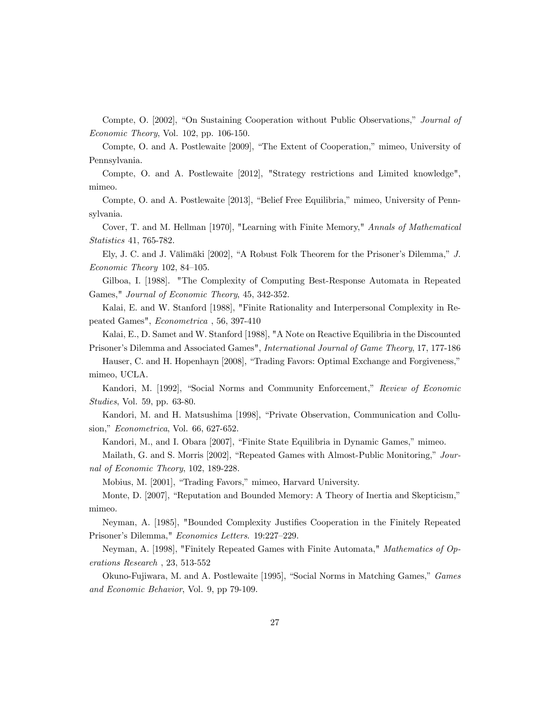Compte, O. [2002], "On Sustaining Cooperation without Public Observations," Journal of Economic Theory, Vol. 102, pp. 106-150.

Compte, O. and A. Postlewaite [2009], "The Extent of Cooperation," mimeo, University of Pennsylvania.

Compte, O. and A. Postlewaite [2012], "Strategy restrictions and Limited knowledge", mimeo.

Compte, O. and A. Postlewaite [2013], "Belief Free Equilibria," mimeo, University of Pennsylvania.

Cover, T. and M. Hellman [1970], "Learning with Finite Memory," Annals of Mathematical Statistics 41, 765-782.

Ely, J. C. and J. Välimäki [2002], "A Robust Folk Theorem for the Prisoner's Dilemma," J. Economic Theory 102, 84—105.

Gilboa, I. [1988]. "The Complexity of Computing Best-Response Automata in Repeated Games," Journal of Economic Theory, 45, 342-352.

Kalai, E. and W. Stanford [1988], "Finite Rationality and Interpersonal Complexity in Repeated Games", Econometrica , 56, 397-410

Kalai, E., D. Samet and W. Stanford [1988], "A Note on Reactive Equilibria in the Discounted Prisoner's Dilemma and Associated Games", International Journal of Game Theory, 17, 177-186

Hauser, C. and H. Hopenhayn [2008], "Trading Favors: Optimal Exchange and Forgiveness," mimeo, UCLA.

Kandori, M. [1992], "Social Norms and Community Enforcement," Review of Economic Studies, Vol. 59, pp. 63-80.

Kandori, M. and H. Matsushima [1998], "Private Observation, Communication and Collusion," Econometrica, Vol. 66, 627-652.

Kandori, M., and I. Obara [2007], "Finite State Equilibria in Dynamic Games," mimeo.

Mailath, G. and S. Morris [2002], "Repeated Games with Almost-Public Monitoring," Journal of Economic Theory, 102, 189-228.

Mobius, M. [2001], "Trading Favors," mimeo, Harvard University.

Monte, D. [2007], "Reputation and Bounded Memory: A Theory of Inertia and Skepticism," mimeo.

Neyman, A. [1985], "Bounded Complexity Justifies Cooperation in the Finitely Repeated Prisoner's Dilemma," Economics Letters. 19:227—229.

Neyman, A. [1998], "Finitely Repeated Games with Finite Automata," Mathematics of Operations Research , 23, 513-552

Okuno-Fujiwara, M. and A. Postlewaite [1995], "Social Norms in Matching Games," Games and Economic Behavior, Vol. 9, pp 79-109.